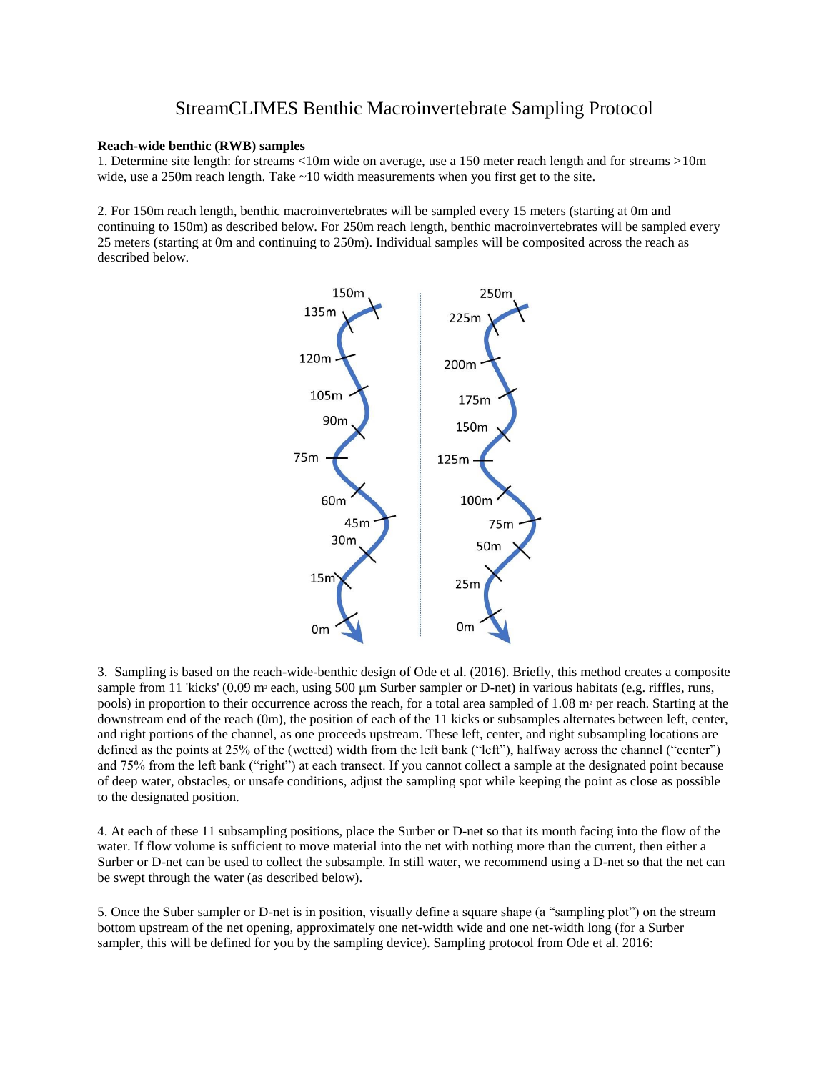# StreamCLIMES Benthic Macroinvertebrate Sampling Protocol

## **Reach-wide benthic (RWB) samples**

1. Determine site length: for streams <10m wide on average, use a 150 meter reach length and for streams >10m wide, use a 250m reach length. Take  $\sim$  10 width measurements when you first get to the site.

2. For 150m reach length, benthic macroinvertebrates will be sampled every 15 meters (starting at 0m and continuing to 150m) as described below. For 250m reach length, benthic macroinvertebrates will be sampled every 25 meters (starting at 0m and continuing to 250m). Individual samples will be composited across the reach as described below.



3. Sampling is based on the reach-wide-benthic design of Ode et al. (2016). Briefly, this method creates a composite sample from 11 'kicks' (0.09 m<sup>2</sup> each, using 500  $\mu$ m Surber sampler or D-net) in various habitats (e.g. riffles, runs, pools) in proportion to their occurrence across the reach, for a total area sampled of  $1.08 \text{ m}$  per reach. Starting at the downstream end of the reach (0m), the position of each of the 11 kicks or subsamples alternates between left, center, and right portions of the channel, as one proceeds upstream. These left, center, and right subsampling locations are defined as the points at 25% of the (wetted) width from the left bank ("left"), halfway across the channel ("center") and 75% from the left bank ("right") at each transect. If you cannot collect a sample at the designated point because of deep water, obstacles, or unsafe conditions, adjust the sampling spot while keeping the point as close as possible to the designated position.

4. At each of these 11 subsampling positions, place the Surber or D-net so that its mouth facing into the flow of the water. If flow volume is sufficient to move material into the net with nothing more than the current, then either a Surber or D-net can be used to collect the subsample. In still water, we recommend using a D-net so that the net can be swept through the water (as described below).

5. Once the Suber sampler or D-net is in position, visually define a square shape (a "sampling plot") on the stream bottom upstream of the net opening, approximately one net-width wide and one net-width long (for a Surber sampler, this will be defined for you by the sampling device). Sampling protocol from Ode et al. 2016: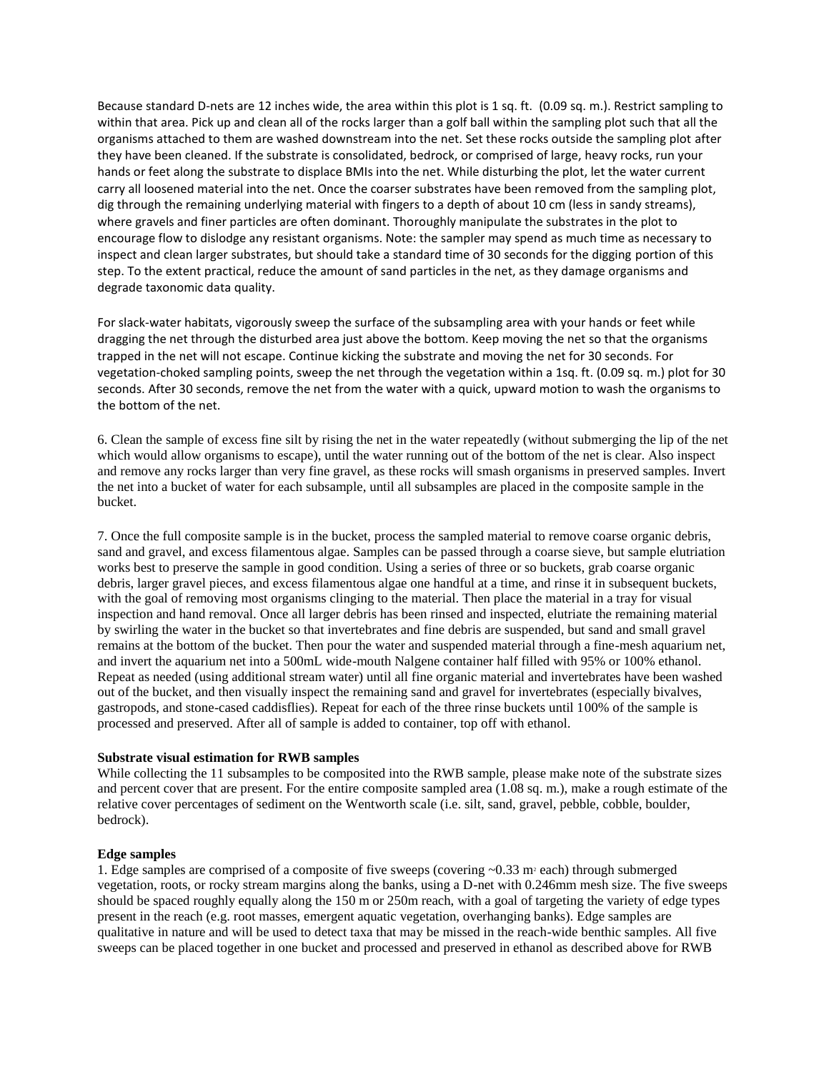Because standard D-nets are 12 inches wide, the area within this plot is 1 sq. ft. (0.09 sq. m.). Restrict sampling to within that area. Pick up and clean all of the rocks larger than a golf ball within the sampling plot such that all the organisms attached to them are washed downstream into the net. Set these rocks outside the sampling plot after they have been cleaned. If the substrate is consolidated, bedrock, or comprised of large, heavy rocks, run your hands or feet along the substrate to displace BMIs into the net. While disturbing the plot, let the water current carry all loosened material into the net. Once the coarser substrates have been removed from the sampling plot, dig through the remaining underlying material with fingers to a depth of about 10 cm (less in sandy streams), where gravels and finer particles are often dominant. Thoroughly manipulate the substrates in the plot to encourage flow to dislodge any resistant organisms. Note: the sampler may spend as much time as necessary to inspect and clean larger substrates, but should take a standard time of 30 seconds for the digging portion of this step. To the extent practical, reduce the amount of sand particles in the net, as they damage organisms and degrade taxonomic data quality.

For slack-water habitats, vigorously sweep the surface of the subsampling area with your hands or feet while dragging the net through the disturbed area just above the bottom. Keep moving the net so that the organisms trapped in the net will not escape. Continue kicking the substrate and moving the net for 30 seconds. For vegetation-choked sampling points, sweep the net through the vegetation within a 1sq. ft. (0.09 sq. m.) plot for 30 seconds. After 30 seconds, remove the net from the water with a quick, upward motion to wash the organisms to the bottom of the net.

6. Clean the sample of excess fine silt by rising the net in the water repeatedly (without submerging the lip of the net which would allow organisms to escape), until the water running out of the bottom of the net is clear. Also inspect and remove any rocks larger than very fine gravel, as these rocks will smash organisms in preserved samples. Invert the net into a bucket of water for each subsample, until all subsamples are placed in the composite sample in the bucket.

7. Once the full composite sample is in the bucket, process the sampled material to remove coarse organic debris, sand and gravel, and excess filamentous algae. Samples can be passed through a coarse sieve, but sample elutriation works best to preserve the sample in good condition. Using a series of three or so buckets, grab coarse organic debris, larger gravel pieces, and excess filamentous algae one handful at a time, and rinse it in subsequent buckets, with the goal of removing most organisms clinging to the material. Then place the material in a tray for visual inspection and hand removal. Once all larger debris has been rinsed and inspected, elutriate the remaining material by swirling the water in the bucket so that invertebrates and fine debris are suspended, but sand and small gravel remains at the bottom of the bucket. Then pour the water and suspended material through a fine-mesh aquarium net, and invert the aquarium net into a 500mL wide-mouth Nalgene container half filled with 95% or 100% ethanol. Repeat as needed (using additional stream water) until all fine organic material and invertebrates have been washed out of the bucket, and then visually inspect the remaining sand and gravel for invertebrates (especially bivalves, gastropods, and stone-cased caddisflies). Repeat for each of the three rinse buckets until 100% of the sample is processed and preserved. After all of sample is added to container, top off with ethanol.

#### **Substrate visual estimation for RWB samples**

While collecting the 11 subsamples to be composited into the RWB sample, please make note of the substrate sizes and percent cover that are present. For the entire composite sampled area (1.08 sq. m.), make a rough estimate of the relative cover percentages of sediment on the Wentworth scale (i.e. silt, sand, gravel, pebble, cobble, boulder, bedrock).

#### **Edge samples**

1. Edge samples are comprised of a composite of five sweeps (covering  $\sim 0.33$  m<sup>2</sup> each) through submerged vegetation, roots, or rocky stream margins along the banks, using a D-net with 0.246mm mesh size. The five sweeps should be spaced roughly equally along the 150 m or 250m reach, with a goal of targeting the variety of edge types present in the reach (e.g. root masses, emergent aquatic vegetation, overhanging banks). Edge samples are qualitative in nature and will be used to detect taxa that may be missed in the reach-wide benthic samples. All five sweeps can be placed together in one bucket and processed and preserved in ethanol as described above for RWB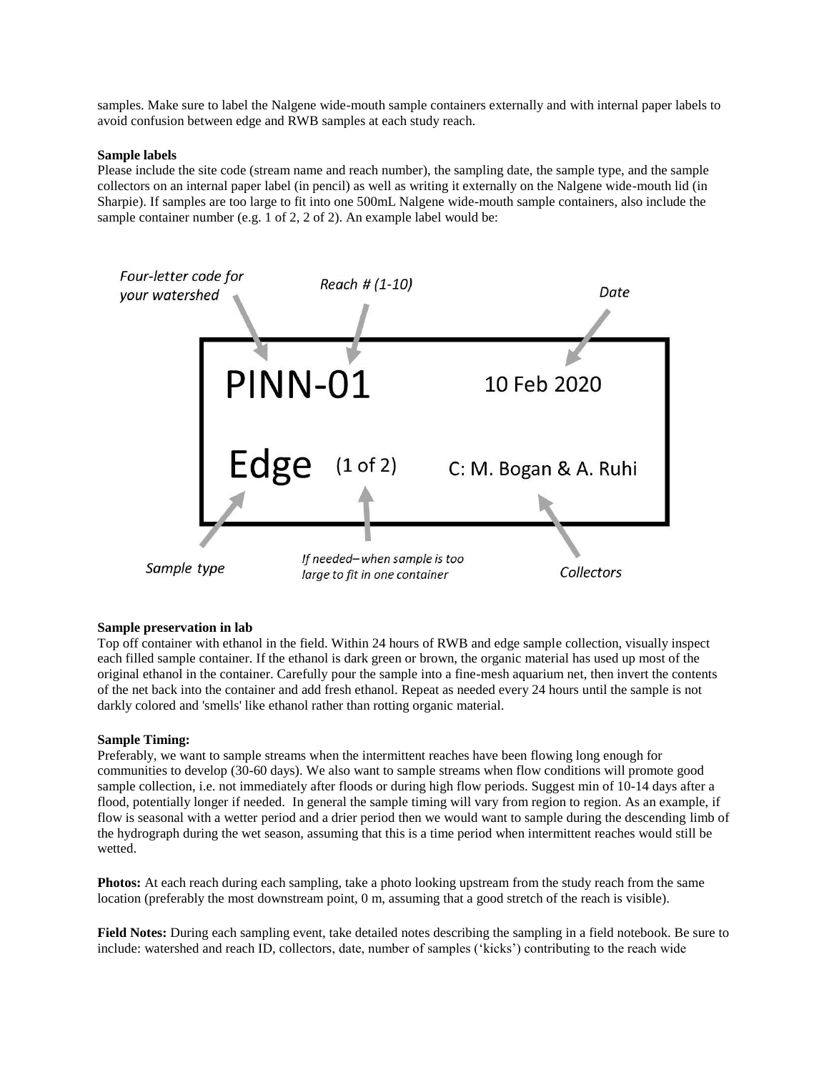samples. Make sure to label the Nalgene wide-mouth sample containers externally and with internal paper labels to avoid confusion between edge and RWB samples at each study reach.

## **Sample labels**

Please include the site code (stream name and reach number), the sampling date, the sample type, and the sample collectors on an internal paper label (in pencil) as well as writing it externally on the Nalgene wide-mouth lid (in Sharpie). If samples are too large to fit into one 500mL Nalgene wide-mouth sample containers, also include the sample container number (e.g. 1 of 2, 2 of 2). An example label would be:



#### **Sample preservation in lab**

Top off container with ethanol in the field. Within 24 hours of RWB and edge sample collection, visually inspect each filled sample container. If the ethanol is dark green or brown, the organic material has used up most of the original ethanol in the container. Carefully pour the sample into a fine-mesh aquarium net, then invert the contents of the net back into the container and add fresh ethanol. Repeat as needed every 24 hours until the sample is not darkly colored and 'smells' like ethanol rather than rotting organic material.

## **Sample Timing:**

Preferably, we want to sample streams when the intermittent reaches have been flowing long enough for communities to develop (30-60 days). We also want to sample streams when flow conditions will promote good sample collection, i.e. not immediately after floods or during high flow periods. Suggest min of 10-14 days after a flood, potentially longer if needed. In general the sample timing will vary from region to region. As an example, if flow is seasonal with a wetter period and a drier period then we would want to sample during the descending limb of the hydrograph during the wet season, assuming that this is a time period when intermittent reaches would still be wetted.

**Photos:** At each reach during each sampling, take a photo looking upstream from the study reach from the same location (preferably the most downstream point, 0 m, assuming that a good stretch of the reach is visible).

**Field Notes:** During each sampling event, take detailed notes describing the sampling in a field notebook. Be sure to include: watershed and reach ID, collectors, date, number of samples ('kicks') contributing to the reach wide